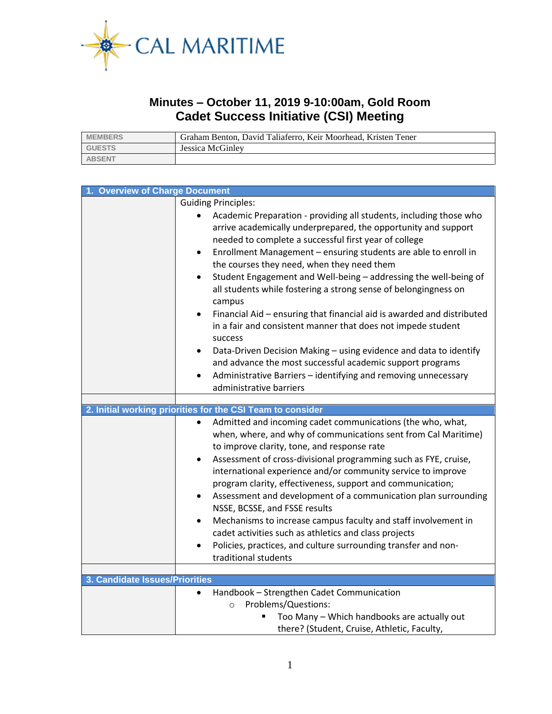

## **Minutes – October 11, 2019 9-10:00am, Gold Room Cadet Success Initiative (CSI) Meeting**

| <b>MEMBERS</b> | Graham Benton, David Taliaferro, Keir Moorhead, Kristen Tener |
|----------------|---------------------------------------------------------------|
| <b>GUESTS</b>  | Jessica McGinley                                              |
| <b>ABSENT</b>  |                                                               |

| 1. Overview of Charge Document |                                                                                                                                                                                               |
|--------------------------------|-----------------------------------------------------------------------------------------------------------------------------------------------------------------------------------------------|
|                                | <b>Guiding Principles:</b>                                                                                                                                                                    |
|                                | Academic Preparation - providing all students, including those who<br>arrive academically underprepared, the opportunity and support<br>needed to complete a successful first year of college |
|                                | Enrollment Management - ensuring students are able to enroll in<br>$\bullet$<br>the courses they need, when they need them                                                                    |
|                                | Student Engagement and Well-being - addressing the well-being of<br>$\bullet$<br>all students while fostering a strong sense of belongingness on<br>campus                                    |
|                                | Financial Aid - ensuring that financial aid is awarded and distributed<br>$\bullet$<br>in a fair and consistent manner that does not impede student<br>success                                |
|                                | Data-Driven Decision Making - using evidence and data to identify<br>٠<br>and advance the most successful academic support programs                                                           |
|                                | Administrative Barriers - identifying and removing unnecessary<br>$\bullet$                                                                                                                   |
|                                | administrative barriers                                                                                                                                                                       |
|                                |                                                                                                                                                                                               |
|                                | 2. Initial working priorities for the CSI Team to consider                                                                                                                                    |
|                                | Admitted and incoming cadet communications (the who, what,<br>$\bullet$<br>when, where, and why of communications sent from Cal Maritime)<br>to improve clarity, tone, and response rate      |
|                                | Assessment of cross-divisional programming such as FYE, cruise,<br>$\bullet$                                                                                                                  |
|                                | international experience and/or community service to improve<br>program clarity, effectiveness, support and communication;                                                                    |
|                                | Assessment and development of a communication plan surrounding<br>$\bullet$<br>NSSE, BCSSE, and FSSE results                                                                                  |
|                                | Mechanisms to increase campus faculty and staff involvement in<br>cadet activities such as athletics and class projects                                                                       |
|                                | Policies, practices, and culture surrounding transfer and non-                                                                                                                                |
|                                | traditional students                                                                                                                                                                          |
|                                |                                                                                                                                                                                               |
| 3. Candidate Issues/Priorities |                                                                                                                                                                                               |
|                                | Handbook - Strengthen Cadet Communication                                                                                                                                                     |
|                                | Problems/Questions:<br>$\circ$                                                                                                                                                                |
|                                | Too Many - Which handbooks are actually out                                                                                                                                                   |